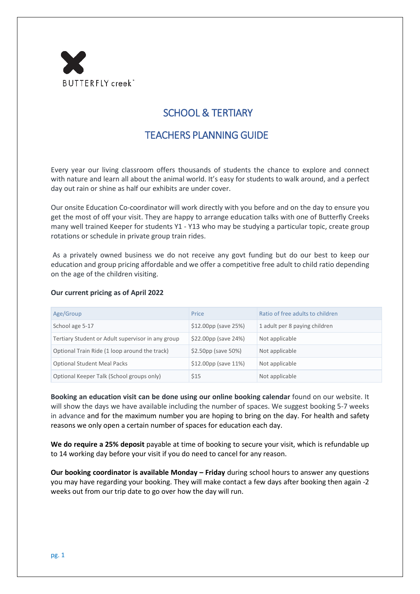

## SCHOOL & TERTIARY

## TEACHERS PLANNING GUIDE

Every year our living classroom offers thousands of students the chance to explore and connect with nature and learn all about the animal world. It's easy for students to walk around, and a perfect day out rain or shine as half our exhibits are under cover.

Our onsite Education Co-coordinator will work directly with you before and on the day to ensure you get the most of off your visit. They are happy to arrange education talks with one of Butterfly Creeks many well trained Keeper for students Y1 - Y13 who may be studying a particular topic, create group rotations or schedule in private group train rides.

As a privately owned business we do not receive any govt funding but do our best to keep our education and group pricing affordable and we offer a competitive free adult to child ratio depending on the age of the children visiting.

## **Our current pricing as of April 2022**

| Age/Group                                         | Price                    | Ratio of free adults to children |
|---------------------------------------------------|--------------------------|----------------------------------|
| School age 5-17                                   | $$12.00pp$ (save 25%)    | 1 adult per 8 paying children    |
| Tertiary Student or Adult supervisor in any group | $$22.00pp$ (save 24%)    | Not applicable                   |
| Optional Train Ride (1 loop around the track)     | $$2.50pp$ (save 50%)     | Not applicable                   |
| <b>Optional Student Meal Packs</b>                | $$12.00pp$ (save $11%$ ) | Not applicable                   |
| Optional Keeper Talk (School groups only)         | \$15                     | Not applicable                   |

**Booking an education visit can be done using our online booking calendar** found on our website. It will show the days we have available including the number of spaces. We suggest booking 5-7 weeks in advance and for the maximum number you are hoping to bring on the day. For health and safety reasons we only open a certain number of spaces for education each day.

**We do require a 25% deposit** payable at time of booking to secure your visit, which is refundable up to 14 working day before your visit if you do need to cancel for any reason.

**Our booking coordinator is available Monday – Friday** during school hours to answer any questions you may have regarding your booking. They will make contact a few days after booking then again -2 weeks out from our trip date to go over how the day will run.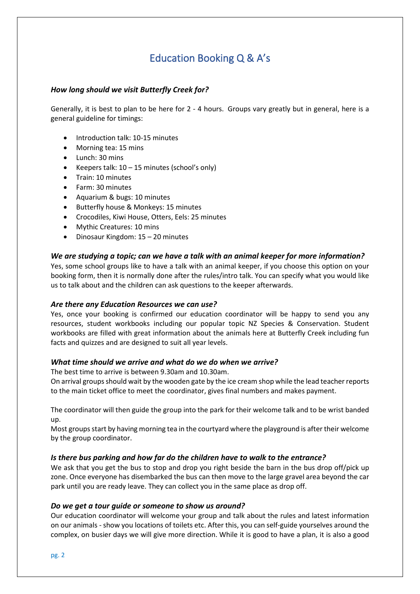# Education Booking Q & A's

## *How long should we visit Butterfly Creek for?*

Generally, it is best to plan to be here for 2 - 4 hours. Groups vary greatly but in general, here is a general guideline for timings:

- Introduction talk: 10-15 minutes
- Morning tea: 15 mins
- Lunch: 30 mins
- Keepers talk: 10 15 minutes (school's only)
- Train: 10 minutes
- Farm: 30 minutes
- Aquarium & bugs: 10 minutes
- Butterfly house & Monkeys: 15 minutes
- Crocodiles, Kiwi House, Otters, Eels: 25 minutes
- Mythic Creatures: 10 mins
- Dinosaur Kingdom: 15 20 minutes

## *We are studying a topic; can we have a talk with an animal keeper for more information?*

Yes, some school groups like to have a talk with an animal keeper, if you choose this option on your booking form, then it is normally done after the rules/intro talk. You can specify what you would like us to talk about and the children can ask questions to the keeper afterwards.

#### *Are there any Education Resources we can use?*

Yes, once your booking is confirmed our education coordinator will be happy to send you any resources, student workbooks including our popular topic NZ Species & Conservation. Student workbooks are filled with great information about the animals here at Butterfly Creek including fun facts and quizzes and are designed to suit all year levels.

#### *What time should we arrive and what do we do when we arrive?*

The best time to arrive is between 9.30am and 10.30am.

On arrival groups should wait by the wooden gate by the ice cream shop while the lead teacher reports to the main ticket office to meet the coordinator, gives final numbers and makes payment.

The coordinator will then guide the group into the park for their welcome talk and to be wrist banded up.

Most groups start by having morning tea in the courtyard where the playground is after their welcome by the group coordinator.

#### *Is there bus parking and how far do the children have to walk to the entrance?*

We ask that you get the bus to stop and drop you right beside the barn in the bus drop off/pick up zone. Once everyone has disembarked the bus can then move to the large gravel area beyond the car park until you are ready leave. They can collect you in the same place as drop off.

#### *Do we get a tour guide or someone to show us around?*

Our education coordinator will welcome your group and talk about the rules and latest information on our animals - show you locations of toilets etc. After this, you can self-guide yourselves around the complex, on busier days we will give more direction. While it is good to have a plan, it is also a good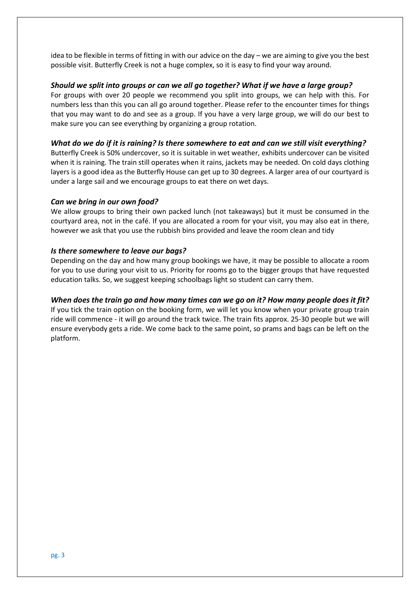idea to be flexible in terms of fitting in with our advice on the day – we are aiming to give you the best possible visit. Butterfly Creek is not a huge complex, so it is easy to find your way around.

## *Should we split into groups or can we all go together? What if we have a large group?*

For groups with over 20 people we recommend you split into groups, we can help with this. For numbers less than this you can all go around together. Please refer to the encounter times for things that you may want to do and see as a group. If you have a very large group, we will do our best to make sure you can see everything by organizing a group rotation.

## *What do we do if it is raining? Is there somewhere to eat and can we still visit everything?*

Butterfly Creek is 50% undercover, so it is suitable in wet weather, exhibits undercover can be visited when it is raining. The train still operates when it rains, jackets may be needed. On cold days clothing layers is a good idea as the Butterfly House can get up to 30 degrees. A larger area of our courtyard is under a large sail and we encourage groups to eat there on wet days.

## *Can we bring in our own food?*

We allow groups to bring their own packed lunch (not takeaways) but it must be consumed in the courtyard area, not in the café. If you are allocated a room for your visit, you may also eat in there, however we ask that you use the rubbish bins provided and leave the room clean and tidy

## *Is there somewhere to leave our bags?*

Depending on the day and how many group bookings we have, it may be possible to allocate a room for you to use during your visit to us. Priority for rooms go to the bigger groups that have requested education talks. So, we suggest keeping schoolbags light so student can carry them.

## *When does the train go and how many times can we go on it? How many people does it fit?*

If you tick the train option on the booking form, we will let you know when your private group train ride will commence - it will go around the track twice. The train fits approx. 25-30 people but we will ensure everybody gets a ride. We come back to the same point, so prams and bags can be left on the platform.